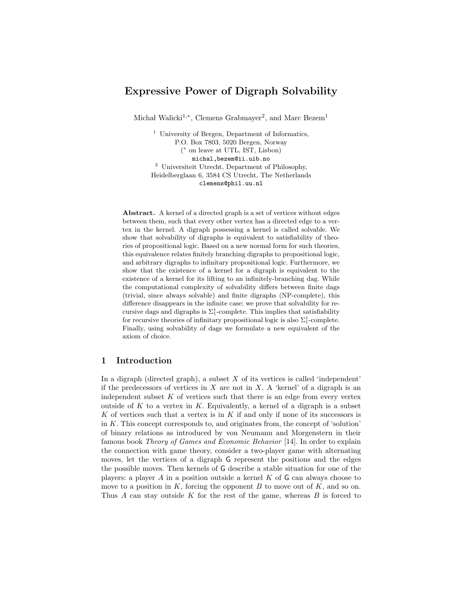# Expressive Power of Digraph Solvability

Michał Walicki<sup>1,\*</sup>, Clemens Grabmayer<sup>2</sup>, and Marc Bezem<sup>1</sup>

<sup>1</sup> University of Bergen, Department of Informatics, P.O. Box 7803, 5020 Bergen, Norway ( ∗ on leave at UTL, IST, Lisbon) michal,bezem@ii.uib.no <sup>2</sup> Universiteit Utrecht, Department of Philosophy, Heidelberglaan 6, 3584 CS Utrecht, The Netherlands clemens@phil.uu.nl

Abstract. A kernel of a directed graph is a set of vertices without edges between them, such that every other vertex has a directed edge to a vertex in the kernel. A digraph possessing a kernel is called solvable. We show that solvability of digraphs is equivalent to satisfiability of theories of propositional logic. Based on a new normal form for such theories, this equivalence relates finitely branching digraphs to propositional logic, and arbitrary digraphs to infinitary propositional logic. Furthermore, we show that the existence of a kernel for a digraph is equivalent to the existence of a kernel for its lifting to an infinitely-branching dag. While the computational complexity of solvability differs between finite dags (trivial, since always solvable) and finite digraphs (NP-complete), this difference disappears in the infinite case: we prove that solvability for recursive dags and digraphs is  $\Sigma^1_1$ -complete. This implies that satisfiability for recursive theories of infinitary propositional logic is also  $\Sigma_1^1$ -complete. Finally, using solvability of dags we formulate a new equivalent of the axiom of choice.

# 1 Introduction

In a digraph (directed graph), a subset  $X$  of its vertices is called 'independent' if the predecessors of vertices in  $X$  are not in  $X$ . A 'kernel' of a digraph is an independent subset  $K$  of vertices such that there is an edge from every vertex outside of K to a vertex in K. Equivalently, a kernel of a digraph is a subset K of vertices such that a vertex is in  $K$  if and only if none of its successors is in K. This concept corresponds to, and originates from, the concept of 'solution' of binary relations as introduced by von Neumann and Morgenstern in their famous book Theory of Games and Economic Behavior [14]. In order to explain the connection with game theory, consider a two-player game with alternating moves, let the vertices of a digraph G represent the positions and the edges the possible moves. Then kernels of G describe a stable situation for one of the players: a player A in a position outside a kernel K of  $\mathsf G$  can always choose to move to a position in  $K$ , forcing the opponent  $B$  to move out of  $K$ , and so on. Thus A can stay outside K for the rest of the game, whereas  $B$  is forced to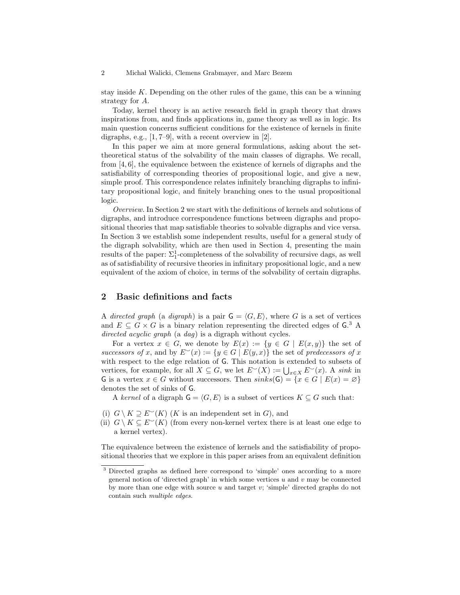stay inside K. Depending on the other rules of the game, this can be a winning strategy for A.

Today, kernel theory is an active research field in graph theory that draws inspirations from, and finds applications in, game theory as well as in logic. Its main question concerns sufficient conditions for the existence of kernels in finite digraphs, e.g., [1, 7–9], with a recent overview in [2].

In this paper we aim at more general formulations, asking about the settheoretical status of the solvability of the main classes of digraphs. We recall, from [4, 6], the equivalence between the existence of kernels of digraphs and the satisfiability of corresponding theories of propositional logic, and give a new, simple proof. This correspondence relates infinitely branching digraphs to infinitary propositional logic, and finitely branching ones to the usual propositional logic.

Overview. In Section 2 we start with the definitions of kernels and solutions of digraphs, and introduce correspondence functions between digraphs and propositional theories that map satisfiable theories to solvable digraphs and vice versa. In Section 3 we establish some independent results, useful for a general study of the digraph solvability, which are then used in Section 4, presenting the main results of the paper:  $\Sigma^1_1$ -completeness of the solvability of recursive dags, as well as of satisfiability of recursive theories in infinitary propositional logic, and a new equivalent of the axiom of choice, in terms of the solvability of certain digraphs.

# 2 Basic definitions and facts

A directed graph (a digraph) is a pair  $G = \langle G, E \rangle$ , where G is a set of vertices and  $E \subseteq G \times G$  is a binary relation representing the directed edges of G.<sup>3</sup> A directed acyclic graph (a dag) is a digraph without cycles.

For a vertex  $x \in G$ , we denote by  $E(x) := \{y \in G \mid E(x, y)\}\)$  the set of successors of x, and by  $E^{\sim}(x) := \{y \in G \mid E(y, x)\}\)$  the set of predecessors of x with respect to the edge relation of G. This notation is extended to subsets of vertices, for example, for all  $X \subseteq G$ , we let  $E^{\sim}(X) := \bigcup_{x \in X} E^{\sim}(x)$ . A sink in G is a vertex  $x \in G$  without successors. Then  $sinks(G) = \{x \in G \mid E(x) = \emptyset\}$ denotes the set of sinks of G.

A kernel of a digraph  $\mathsf{G} = \langle G, E \rangle$  is a subset of vertices  $K \subseteq G$  such that:

- (i)  $G \setminus K \supseteq E^{\sim}(K)$  (K is an independent set in G), and
- (ii)  $G \setminus K \subseteq E^{\sim}(K)$  (from every non-kernel vertex there is at least one edge to a kernel vertex).

The equivalence between the existence of kernels and the satisfiability of propositional theories that we explore in this paper arises from an equivalent definition

<sup>3</sup> Directed graphs as defined here correspond to 'simple' ones according to a more general notion of 'directed graph' in which some vertices  $u$  and  $v$  may be connected by more than one edge with source  $u$  and target  $v$ ; 'simple' directed graphs do not contain such multiple edges.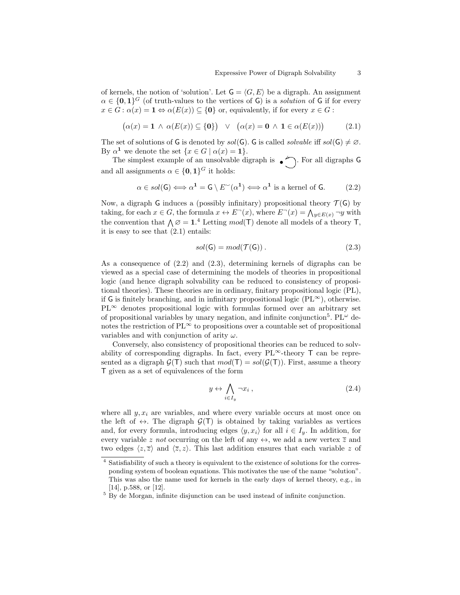of kernels, the notion of 'solution'. Let  $G = \langle G, E \rangle$  be a digraph. An assignment  $\alpha \in \{0,1\}^G$  (of truth-values to the vertices of G) is a *solution* of G if for every  $x \in G : \alpha(x) = \mathbf{1} \Leftrightarrow \alpha(E(x)) \subseteq \{0\}$  or, equivalently, if for every  $x \in G$ :

$$
(\alpha(x) = \mathbf{1} \land \alpha(E(x)) \subseteq \{\mathbf{0}\}) \lor (\alpha(x) = \mathbf{0} \land \mathbf{1} \in \alpha(E(x))) \tag{2.1}
$$

The set of solutions of G is denoted by  $sol(G)$ . G is called solvable iff  $sol(G) \neq \emptyset$ . By  $\alpha^1$  we denote the set  $\{x \in G \mid \alpha(x) = 1\}.$ 

The simplest example of an unsolvable digraph is  $\bullet$ . For all digraphs G and all assignments  $\alpha \in \{0,1\}^G$  it holds:

$$
\alpha \in sol(\mathsf{G}) \Longleftrightarrow \alpha^{\mathbf{1}} = \mathsf{G} \setminus E^{\sim}(\alpha^{\mathbf{1}}) \Longleftrightarrow \alpha^{\mathbf{1}} \text{ is a kernel of } \mathsf{G}. \tag{2.2}
$$

Now, a digraph G induces a (possibly infinitary) propositional theory  $\mathcal{T}(G)$  by taking, for each  $x \in G$ , the formula  $x \leftrightarrow E^-(x)$ , where  $E^-(x) = \bigwedge_{y \in E(x)} \neg y$  with the convention that  $\Lambda \varnothing = 1$ .<sup>4</sup> Letting mod(T) denote all models of a theory T, it is easy to see that (2.1) entails:

$$
sol(\mathsf{G}) = mod(\mathcal{T}(\mathsf{G})). \tag{2.3}
$$

As a consequence of  $(2.2)$  and  $(2.3)$ , determining kernels of digraphs can be viewed as a special case of determining the models of theories in propositional logic (and hence digraph solvability can be reduced to consistency of propositional theories). These theories are in ordinary, finitary propositional logic (PL), if G is finitely branching, and in infinitary propositional logic  $(PL^{\infty})$ , otherwise.  $PL^{\infty}$  denotes propositional logic with formulas formed over an arbitrary set of propositional variables by unary negation, and infinite conjunction<sup>5</sup>. PL<sup> $\omega$ </sup> denotes the restriction of  $PL^{\infty}$  to propositions over a countable set of propositional variables and with conjunction of arity  $\omega$ .

Conversely, also consistency of propositional theories can be reduced to solvability of corresponding digraphs. In fact, every  $PL^{\infty}$ -theory  $T$  can be represented as a digraph  $\mathcal{G}(\mathsf{T})$  such that  $mod(\mathsf{T}) = sol(\mathcal{G}(\mathsf{T}))$ . First, assume a theory T given as a set of equivalences of the form

$$
y \leftrightarrow \bigwedge_{i \in I_y} \neg x_i , \qquad (2.4)
$$

where all  $y, x_i$  are variables, and where every variable occurs at most once on the left of  $\leftrightarrow$ . The digraph  $\mathcal{G}(T)$  is obtained by taking variables as vertices and, for every formula, introducing edges  $\langle y, x_i \rangle$  for all  $i \in I_y$ . In addition, for every variable z not occurring on the left of any  $\leftrightarrow$ , we add a new vertex  $\overline{z}$  and two edges  $\langle z, \overline{z} \rangle$  and  $\langle \overline{z}, z \rangle$ . This last addition ensures that each variable z of

<sup>4</sup> Satisfiability of such a theory is equivalent to the existence of solutions for the corresponding system of boolean equations. This motivates the use of the name "solution". This was also the name used for kernels in the early days of kernel theory, e.g., in [14], p.588, or [12].

<sup>5</sup> By de Morgan, infinite disjunction can be used instead of infinite conjunction.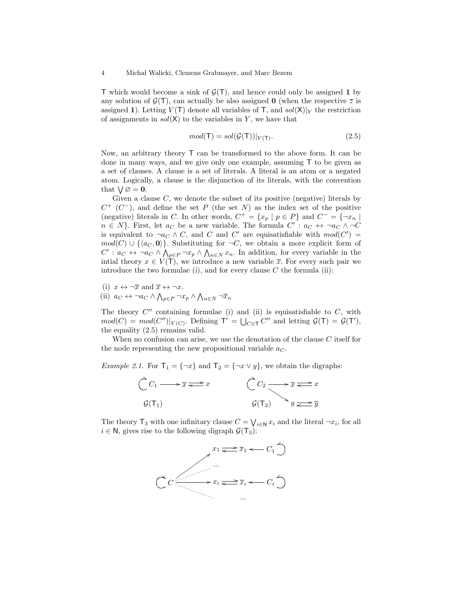T which would become a sink of  $\mathcal{G}(T)$ , and hence could only be assigned 1 by any solution of  $\mathcal{G}(\mathsf{T})$ , can actually be also assigned **0** (when the respective  $\overline{z}$  is assigned 1). Letting  $V(T)$  denote all variables of T, and  $sol(X)|_Y$  the restriction of assignments in  $sol(X)$  to the variables in Y, we have that

$$
mod(\mathsf{T}) = sol(\mathcal{G}(\mathsf{T}))|_{V(\mathsf{T})}.
$$
\n(2.5)

Now, an arbitrary theory T can be transformed to the above form. It can be done in many ways, and we give only one example, assuming T to be given as a set of clauses. A clause is a set of literals. A literal is an atom or a negated atom. Logically, a clause is the disjunction of its literals, with the convention that  $\bigvee \emptyset = \mathbf{0}$ .

Given a clause  $C$ , we denote the subset of its positive (negative) literals by  $C^+$  ( $C^-$ ), and define the set P (the set N) as the index set of the positive (negative) literals in C. In other words,  $C^+ = \{x_p \mid p \in P\}$  and  $C^- = \{\neg x_n \mid$  $n \in N$ . First, let  $a_C$  be a new variable. The formula  $C' : a_C \leftrightarrow \neg a_C \land \neg C$ is equivalent to  $\neg a_C \wedge C$ , and C and C' are equisatisfiable with  $mod(C') =$  $mod(C) \cup \{\langle a_C, \mathbf{0} \rangle\}$ . Substituting for  $\neg C$ , we obtain a more explicit form of  $C': a_C \leftrightarrow \neg a_C \wedge \bigwedge_{p \in P} \neg x_p \wedge \bigwedge_{n \in N} x_n$ . In addition, for every variable in the intial theory  $x \in V(T)$ , we introduce a new variable  $\overline{x}$ . For every such pair we introduce the two formulae (i), and for every clause  $C$  the formula (ii):

- (i)  $x \leftrightarrow \neg \overline{x}$  and  $\overline{x} \leftrightarrow \neg x$ .
- (ii)  $a_C \leftrightarrow \neg a_C \wedge \bigwedge_{p \in P} \neg x_p \wedge \bigwedge_{n \in N} \neg \overline{x}_n$

The theory  $C''$  containing formulae (i) and (ii) is equisatisfiable to  $C$ , with  $mod(C) = mod(C'')|_{V(C)}$ . Defining  $T' = \bigcup_{C \in T} C''$  and letting  $\mathcal{G}(T) = \mathcal{G}(T')$ , the equality (2.5) remains valid.

When no confusion can arise, we use the denotation of the clause C itself for the node representing the new propositional variable  $a_C$ .

*Example 2.1.* For  $T_1 = \{\neg x\}$  and  $T_2 = \{\neg x \lor y\}$ , we obtain the digraphs:

$$
\begin{array}{ccc}\n\tilde{C} & C_1 & \longrightarrow \overline{x} & \stackrel{\frown}{\Longleftarrow} x & \stackrel{\frown}{\longleftarrow} C_2 & \longrightarrow \overline{x} & \stackrel{\frown}{\Longleftarrow} x \\
G(T_1) & & \mathcal{G}(T_2) & y & \stackrel{\frown}{\Longleftarrow} \overline{y}\n\end{array}
$$

The theory  $\mathsf{T}_3$  with one infinitary clause  $C = \bigvee_{i \in \mathbb{N}} x_i$  and the literal  $\neg x_i$ , for all  $i \in \mathbb{N}$ , gives rise to the following digraph  $\mathcal{G}(\mathsf{T}_3)$ :

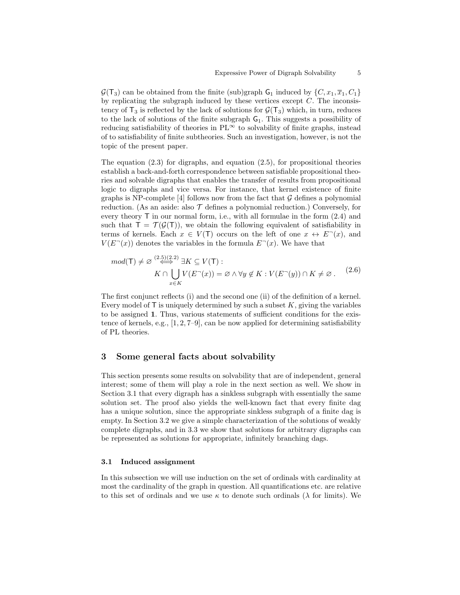$\mathcal{G}(\mathsf{T}_3)$  can be obtained from the finite (sub)graph  $\mathsf{G}_1$  induced by  $\{C, x_1, \overline{x}_1, C_1\}$ by replicating the subgraph induced by these vertices except  $C$ . The inconsistency of  $T_3$  is reflected by the lack of solutions for  $\mathcal{G}(T_3)$  which, in turn, reduces to the lack of solutions of the finite subgraph  $G_1$ . This suggests a possibility of reducing satisfiability of theories in  $PL^{\infty}$  to solvability of finite graphs, instead of to satisfiability of finite subtheories. Such an investigation, however, is not the topic of the present paper.

The equation  $(2.3)$  for digraphs, and equation  $(2.5)$ , for propositional theories establish a back-and-forth correspondence between satisfiable propositional theories and solvable digraphs that enables the transfer of results from propositional logic to digraphs and vice versa. For instance, that kernel existence of finite graphs is NP-complete [4] follows now from the fact that  $\mathcal G$  defines a polynomial reduction. (As an aside: also  $\mathcal T$  defines a polynomial reduction.) Conversely, for every theory  $\mathsf T$  in our normal form, i.e., with all formulae in the form  $(2.4)$  and such that  $T = \mathcal{T}(\mathcal{G}(T))$ , we obtain the following equivalent of satisfiability in terms of kernels. Each  $x \in V(T)$  occurs on the left of one  $x \leftrightarrow E^{-}(x)$ , and  $V(E<sup>~</sup>(x))$  denotes the variables in the formula  $E<sup>~</sup>(x)$ . We have that

$$
mod(\mathsf{T}) \neq \varnothing \stackrel{(2.5)(2.2)}{\iff} \exists K \subseteq V(\mathsf{T}) :\\ K \cap \bigcup_{x \in K} V(E^-(x)) = \varnothing \land \forall y \notin K : V(E^-(y)) \cap K \neq \varnothing. \tag{2.6}
$$

The first conjunct reflects (i) and the second one (ii) of the definition of a kernel. Every model of  $\mathsf T$  is uniquely determined by such a subset  $K$ , giving the variables to be assigned 1. Thus, various statements of sufficient conditions for the existence of kernels, e.g.,  $[1, 2, 7-9]$ , can be now applied for determining satisfiability of PL theories.

### 3 Some general facts about solvability

This section presents some results on solvability that are of independent, general interest; some of them will play a role in the next section as well. We show in Section 3.1 that every digraph has a sinkless subgraph with essentially the same solution set. The proof also yields the well-known fact that every finite dag has a unique solution, since the appropriate sinkless subgraph of a finite dag is empty. In Section 3.2 we give a simple characterization of the solutions of weakly complete digraphs, and in 3.3 we show that solutions for arbitrary digraphs can be represented as solutions for appropriate, infinitely branching dags.

#### 3.1 Induced assignment

In this subsection we will use induction on the set of ordinals with cardinality at most the cardinality of the graph in question. All quantifications etc. are relative to this set of ordinals and we use  $\kappa$  to denote such ordinals ( $\lambda$  for limits). We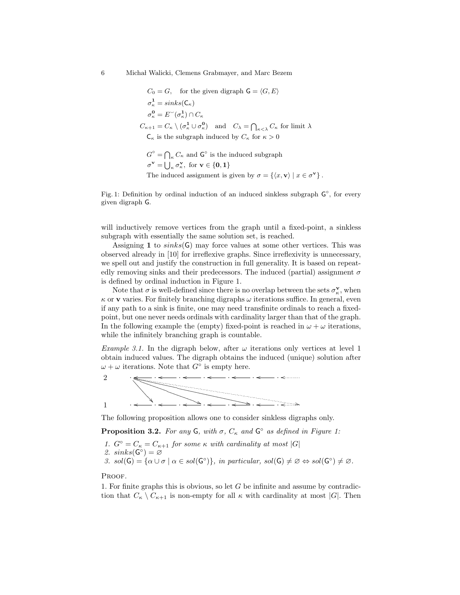$C_0 = G$ , for the given digraph  $G = \langle G, E \rangle$  $\sigma_{\kappa}^{\mathbf{1}} = sinks(\mathsf{C}_{\kappa})$  $\sigma_{\kappa}^{\mathbf{0}} = E^{\sim}(\sigma_{\kappa}^{\mathbf{1}}) \cap C_{\kappa}$  $C_{\kappa+1} = C_{\kappa} \setminus (\sigma_{\kappa}^1 \cup \sigma_{\kappa}^0)$  and  $C_{\lambda} = \bigcap_{\kappa \leq \lambda} C_{\kappa}$  for limit  $\lambda$  $C_{\kappa}$  is the subgraph induced by  $C_{\kappa}$  for  $\kappa > 0$  $G^{\circ} = \bigcap_{\kappa} C_{\kappa}$  and  $\mathsf{G}^{\circ}$  is the induced subgraph  $\sigma^{\mathbf{v}} = \bigcup_{\kappa} \sigma_{\kappa}^{\mathbf{v}}, \text{ for } \mathbf{v} \in \{\mathbf{0}, \mathbf{1}\}\$ 

The induced assignment is given by  $\sigma = \{ \langle x, v \rangle \mid x \in \sigma^{\mathbf{v}} \}.$ 

Fig. 1: Definition by ordinal induction of an induced sinkless subgraph  $\mathsf{G}^{\circ}$ , for every given digraph G.

will inductively remove vertices from the graph until a fixed-point, a sinkless subgraph with essentially the same solution set, is reached.

Assigning 1 to  $sinks(G)$  may force values at some other vertices. This was observed already in [10] for irreflexive graphs. Since irreflexivity is unnecessary, we spell out and justify the construction in full generality. It is based on repeatedly removing sinks and their predecessors. The induced (partial) assignment  $\sigma$ is defined by ordinal induction in Figure 1.

Note that  $\sigma$  is well-defined since there is no overlap between the sets  $\sigma_{\kappa}^{\mathbf{v}}$ , when  $\kappa$  or **v** varies. For finitely branching digraphs  $\omega$  iterations suffice. In general, even if any path to a sink is finite, one may need transfinite ordinals to reach a fixedpoint, but one never needs ordinals with cardinality larger than that of the graph. In the following example the (empty) fixed-point is reached in  $\omega + \omega$  iterations, while the infinitely branching graph is countable.

Example 3.1. In the digraph below, after  $\omega$  iterations only vertices at level 1 obtain induced values. The digraph obtains the induced (unique) solution after  $\omega + \omega$  iterations. Note that  $G^{\circ}$  is empty here.

2 .  $\ddot{\phantom{0}}$ 4  $\overline{a}$  $\overline{a}$  $\overline{\phantom{0}}$  $\overline{\phantom{0}}$  $\overline{\phantom{0}}$ \` **//**  $\overline{\phantom{a}}$   $\overline{\phantom{a}}$   $\overline{\phantom{a}}$   $\overline{\phantom{a}}$   $\overline{\phantom{a}}$   $\overline{\phantom{a}}$   $\overline{\phantom{a}}$   $\overline{\phantom{a}}$   $\overline{\phantom{a}}$   $\overline{\phantom{a}}$   $\overline{\phantom{a}}$   $\overline{\phantom{a}}$   $\overline{\phantom{a}}$   $\overline{\phantom{a}}$   $\overline{\phantom{a}}$   $\overline{\phantom{a}}$   $\overline{\phantom{a}}$   $\overline{\phantom{a}}$   $\overline{\$  $\overline{\phantom{0}}$  $\overline{\phantom{0}}$  $\overline{\phantom{0}}$ SS SS SS SS SS S  $\mathbb{R}$  $\mathbb{R}$  $\ddot{\mathcal{L}}$  $\widetilde{\mathbb{R}}$  $\ll$ , . . o o . o . o . o . o . o  $\overline{\phantom{a}}$  .  $\overline{\phantom{a}}$  .  $\overline{\phantom{a}}$  .  $\overline{\phantom{a}}$  .  $\overline{\phantom{a}}$ 1

The following proposition allows one to consider sinkless digraphs only.

**Proposition 3.2.** For any  $\mathsf{G}$ , with  $\sigma$ ,  $C_{\kappa}$  and  $\mathsf{G}^{\circ}$  as defined in Figure 1:

1.  $G^{\circ} = C_{\kappa} = C_{\kappa+1}$  for some  $\kappa$  with cardinality at most  $|G|$ 2.  $sinks(G^{\circ}) = \varnothing$ 3.  $sol(G) = {\alpha \cup \sigma \mid \alpha \in sol(G^{\circ})\}, \text{ in particular, } sol(G) \neq \emptyset \Leftrightarrow sol(G^{\circ}) \neq \emptyset.$ 

PROOF.

1. For finite graphs this is obvious, so let  $G$  be infinite and assume by contradiction that  $C_{\kappa} \setminus C_{\kappa+1}$  is non-empty for all  $\kappa$  with cardinality at most |G|. Then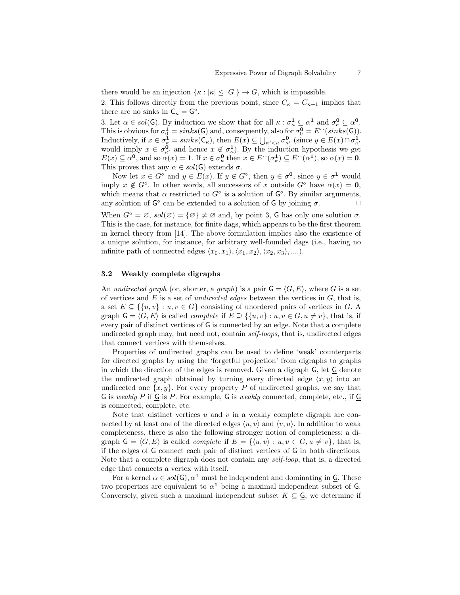there would be an injection  $\{\kappa : |\kappa| \leq |G|\} \to G$ , which is impossible. 2. This follows directly from the previous point, since  $C_{\kappa} = C_{\kappa+1}$  implies that there are no sinks in  $C_{\kappa} = G^{\circ}$ .

3. Let  $\alpha \in sol(G)$ . By induction we show that for all  $\kappa : \sigma_{\kappa}^1 \subseteq \alpha^1$  and  $\sigma_{\kappa}^0 \subseteq \alpha^0$ . This is obvious for  $\sigma_0^{\mathbf{i}} = sinks(\mathsf{G})$  and, consequently, also for  $\sigma_0^{\mathbf{0}} = E^{\sim}(sinks(\mathsf{G}))$ . Inductively, if  $x \in \sigma_{\kappa}^{\mathbf{1}} = sinks(\mathsf{C}_{\kappa})$ , then  $E(x) \subseteq \bigcup_{\kappa' < \kappa} \sigma_{\kappa'}^{\mathbf{0}}$  (since  $y \in E(x) \cap \sigma_{\kappa'}^{\mathbf{1}}$ )<br>would imply  $x \in \sigma_{\kappa'}^{\mathbf{0}}$  and hence  $x \notin \sigma_{\kappa}^{\mathbf{1}}$ ). By the induction hypothesis we get  $E(x) \subseteq \alpha^{\mathbf{0}},$  and so  $\alpha(x) = \mathbf{1}$ . If  $x \in \sigma_{\kappa}^{\mathbf{0}}$  then  $x \in E^{\sim}(\sigma_{\kappa}^{\mathbf{1}}) \subseteq E^{\sim}(\alpha^{\mathbf{1}})$ , so  $\alpha(x) = \mathbf{0}$ . This proves that any  $\alpha \in sol(G)$  extends  $\sigma$ .

Now let  $x \in G^{\circ}$  and  $y \in E(x)$ . If  $y \notin G^{\circ}$ , then  $y \in \sigma^{\mathbf{0}}$ , since  $y \in \sigma^{\mathbf{1}}$  would imply  $x \notin G^{\circ}$ . In other words, all successors of x outside  $G^{\circ}$  have  $\alpha(x) = 0$ , which means that  $\alpha$  restricted to  $G^{\circ}$  is a solution of  $G^{\circ}$ . By similar arguments, any solution of  $G^{\circ}$  can be extended to a solution of G by joining  $\sigma$ .

When  $G^{\circ} = \emptyset$ ,  $sol(\emptyset) = {\emptyset} \neq \emptyset$  and, by point 3, G has only one solution  $\sigma$ . This is the case, for instance, for finite dags, which appears to be the first theorem in kernel theory from [14]. The above formulation implies also the existence of a unique solution, for instance, for arbitrary well-founded dags (i.e., having no infinite path of connected edges  $\langle x_0, x_1 \rangle, \langle x_1, x_2 \rangle, \langle x_2, x_3 \rangle, \dots$ .

### 3.2 Weakly complete digraphs

An undirected graph (or, shorter, a graph) is a pair  $G = \langle G, E \rangle$ , where G is a set of vertices and  $E$  is a set of *undirected edges* between the vertices in  $G$ , that is, a set  $E \subseteq \{ \{u, v\} : u, v \in G \}$  consisting of unordered pairs of vertices in G. A graph  $G = \langle G, E \rangle$  is called *complete* if  $E \supseteq {\{u, v\} : u, v \in G, u \neq v\}$ , that is, if every pair of distinct vertices of G is connected by an edge. Note that a complete undirected graph may, but need not, contain self-loops, that is, undirected edges that connect vertices with themselves.

Properties of undirected graphs can be used to define 'weak' counterparts for directed graphs by using the 'forgetful projection' from digraphs to graphs in which the direction of the edges is removed. Given a digraph G, let G denote the undirected graph obtained by turning every directed edge  $\langle x, y \rangle$  into an undirected one  $\{x, y\}$ . For every property P of undirected graphs, we say that G is weakly P if  $\subseteq$  is P. For example, G is weakly connected, complete, etc., if  $\subseteq$ is connected, complete, etc.

Note that distinct vertices u and v in a weakly complete digraph are connected by at least one of the directed edges  $\langle u, v \rangle$  and  $\langle v, u \rangle$ . In addition to weak completeness, there is also the following stronger notion of completeness: a digraph  $G = \langle G, E \rangle$  is called *complete* if  $E = \{ \langle u, v \rangle : u, v \in G, u \neq v \}$ , that is, if the edges of G connect each pair of distinct vertices of G in both directions. Note that a complete digraph does not contain any self-loop, that is, a directed edge that connects a vertex with itself.

For a kernel  $\alpha \in sol(G)$ ,  $\alpha^1$  must be independent and dominating in G. These two properties are equivalent to  $\alpha^1$  being a maximal independent subset of  $\underline{G}$ . Conversely, given such a maximal independent subset  $K \subseteq \underline{G}$ , we determine if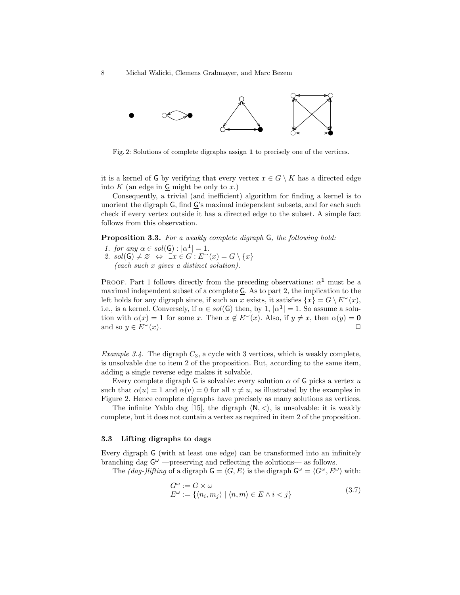

Fig. 2: Solutions of complete digraphs assign 1 to precisely one of the vertices.

it is a kernel of G by verifying that every vertex  $x \in G \setminus K$  has a directed edge into  $K$  (an edge in  $\mathsf{G}$  might be only to  $x$ .)

Consequently, a trivial (and inefficient) algorithm for finding a kernel is to unorient the digraph G, find G's maximal independent subsets, and for each such check if every vertex outside it has a directed edge to the subset. A simple fact follows from this observation.

Proposition 3.3. For a weakly complete digraph G, the following hold:

- 1. for any  $\alpha \in sol(G) : |\alpha^{\mathbf{1}}| = 1$ .
- 2.  $sol(G) \neq \emptyset \Leftrightarrow \exists x \in G : E^{\sim}(x) = G \setminus \{x\}$ (each such x gives a distinct solution).

PROOF. Part 1 follows directly from the preceding observations:  $\alpha^1$  must be a maximal independent subset of a complete G. As to part 2, the implication to the left holds for any digraph since, if such an x exists, it satisfies  $\{x\} = G \setminus E^{\sim}(x)$ , i.e., is a kernel. Conversely, if  $\alpha \in sol(G)$  then, by 1,  $|\alpha^1|=1$ . So assume a solution with  $\alpha(x) = 1$  for some x. Then  $x \notin E^{\sim}(x)$ . Also, if  $y \neq x$ , then  $\alpha(y) = 0$ and so  $y \in E^{\sim}(x)$ .

*Example 3.4.* The digraph  $C_3$ , a cycle with 3 vertices, which is weakly complete, is unsolvable due to item 2 of the proposition. But, according to the same item, adding a single reverse edge makes it solvable.

Every complete digraph G is solvable: every solution  $\alpha$  of G picks a vertex u such that  $\alpha(u) = 1$  and  $\alpha(v) = 0$  for all  $v \neq u$ , as illustrated by the examples in Figure 2. Hence complete digraphs have precisely as many solutions as vertices.

The infinite Yablo dag [15], the digraph  $\langle N, \langle \rangle$ , is unsolvable: it is weakly complete, but it does not contain a vertex as required in item 2 of the proposition.

### 3.3 Lifting digraphs to dags

Every digraph G (with at least one edge) can be transformed into an infinitely branching dag  $G^{\omega}$  —preserving and reflecting the solutions— as follows.

The *(dag-)lifting* of a digraph  $G = \langle G, E \rangle$  is the digraph  $G^{\omega} = \langle G^{\omega}, E^{\omega} \rangle$  with:

$$
G^{\omega} := G \times \omega
$$
  
\n
$$
E^{\omega} := \{ \langle n_i, m_j \rangle \mid \langle n, m \rangle \in E \land i < j \}
$$
\n(3.7)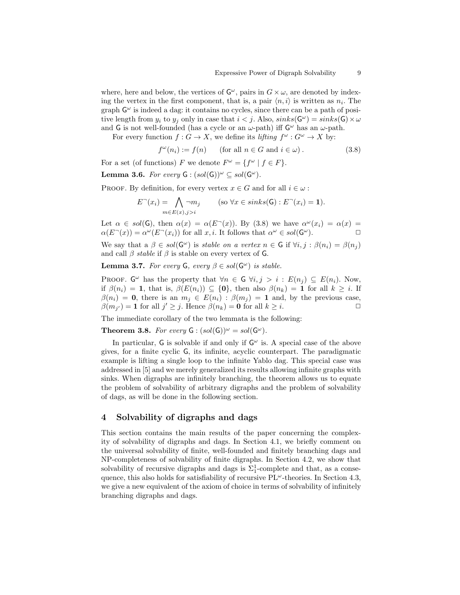where, here and below, the vertices of  $G^{\omega}$ , pairs in  $G \times \omega$ , are denoted by indexing the vertex in the first component, that is, a pair  $\langle n, i \rangle$  is written as  $n_i$ . The graph  $G^{\omega}$  is indeed a dag: it contains no cycles, since there can be a path of positive length from  $y_i$  to  $y_j$  only in case that  $i < j$ . Also,  $sinks(\mathsf{G}^{\omega}) = sinks(\mathsf{G}) \times \omega$ and G is not well-founded (has a cycle or an  $\omega$ -path) iff  $G^{\omega}$  has an  $\omega$ -path.

For every function  $f: G \to X$ , we define its lifting  $f^{\omega}: G^{\omega} \to X$  by:

$$
f^{\omega}(n_i) := f(n) \qquad \text{(for all } n \in G \text{ and } i \in \omega) . \tag{3.8}
$$

For a set (of functions) F we denote  $F^{\omega} = \{ f^{\omega} | f \in F \}.$ 

**Lemma 3.6.** For every  $G : (sol(G))^{\omega} \subseteq sol(G^{\omega})$ .

PROOF. By definition, for every vertex  $x \in G$  and for all  $i \in \omega$ :

$$
E^-(x_i) = \bigwedge_{m \in E(x), j > i} \neg m_j \qquad (\text{so } \forall x \in sinks(\mathsf{G}) : E^-(x_i) = \mathbf{1}).
$$

Let  $\alpha \in sol(G)$ , then  $\alpha(x) = \alpha(E^{-}(x))$ . By (3.8) we have  $\alpha^{\omega}(x_i) = \alpha(x)$  $\alpha(E^-(x)) = \alpha^{\omega}(E^-(x_i))$  for all  $x, i$ . It follows that  $\alpha^{\omega} \in sol(\mathsf{G}^{\omega})$ .

We say that a  $\beta \in sol(G^{\omega})$  is stable on a vertex  $n \in G$  if  $\forall i, j : \beta(n_i) = \beta(n_j)$ and call  $\beta$  stable if  $\beta$  is stable on every vertex of G.

**Lemma 3.7.** For every  $\mathsf{G}$ , every  $\beta \in sol(\mathsf{G}^{\omega})$  is stable.

PROOF.  $G^{\omega}$  has the property that  $\forall n \in G$   $\forall i, j > i : E(n_j) \subseteq E(n_i)$ . Now, if  $\beta(n_i) = 1$ , that is,  $\beta(E(n_i)) \subseteq \{0\}$ , then also  $\beta(n_k) = 1$  for all  $k \geq i$ . If  $\beta(n_i) = 0$ , there is an  $m_i \in E(n_i)$ :  $\beta(m_i) = 1$  and, by the previous case,  $\beta(m_{j'}) = 1$  for all  $j' \geq j$ . Hence  $\beta(n_k) = 0$  for all  $k \geq i$ .

The immediate corollary of the two lemmata is the following:

**Theorem 3.8.** For every  $G : (sol(G))^{\omega} = sol(G^{\omega}).$ 

In particular,  $G$  is solvable if and only if  $G^{\omega}$  is. A special case of the above gives, for a finite cyclic G, its infinite, acyclic counterpart. The paradigmatic example is lifting a single loop to the infinite Yablo dag. This special case was addressed in [5] and we merely generalized its results allowing infinite graphs with sinks. When digraphs are infinitely branching, the theorem allows us to equate the problem of solvability of arbitrary digraphs and the problem of solvability of dags, as will be done in the following section.

# 4 Solvability of digraphs and dags

This section contains the main results of the paper concerning the complexity of solvability of digraphs and dags. In Section 4.1, we briefly comment on the universal solvability of finite, well-founded and finitely branching dags and NP-completeness of solvability of finite digraphs. In Section 4.2, we show that solvability of recursive digraphs and dags is  $\Sigma_1^1$ -complete and that, as a consequence, this also holds for satisfiability of recursive  $PL^{\omega}$ -theories. In Section 4.3, we give a new equivalent of the axiom of choice in terms of solvability of infinitely branching digraphs and dags.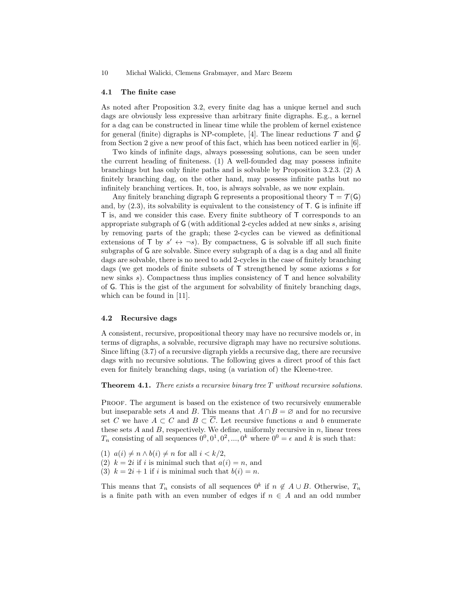#### 4.1 The finite case

As noted after Proposition 3.2, every finite dag has a unique kernel and such dags are obviously less expressive than arbitrary finite digraphs. E.g., a kernel for a dag can be constructed in linear time while the problem of kernel existence for general (finite) digraphs is NP-complete, [4]. The linear reductions  $\mathcal T$  and  $\mathcal G$ from Section 2 give a new proof of this fact, which has been noticed earlier in [6].

Two kinds of infinite dags, always possessing solutions, can be seen under the current heading of finiteness. (1) A well-founded dag may possess infinite branchings but has only finite paths and is solvable by Proposition 3.2.3. (2) A finitely branching dag, on the other hand, may possess infinite paths but no infinitely branching vertices. It, too, is always solvable, as we now explain.

Any finitely branching digraph G represents a propositional theory  $T = \mathcal{T}(G)$ and, by  $(2.3)$ , its solvability is equivalent to the consistency of  $T$ . G is infinite iff T is, and we consider this case. Every finite subtheory of T corresponds to an appropriate subgraph of G (with additional 2-cycles added at new sinks s, arising by removing parts of the graph; these 2-cycles can be viewed as definitional extensions of T by  $s' \leftrightarrow \neg s$ ). By compactness, G is solvable iff all such finite subgraphs of G are solvable. Since every subgraph of a dag is a dag and all finite dags are solvable, there is no need to add 2-cycles in the case of finitely branching dags (we get models of finite subsets of T strengthened by some axioms s for new sinks s). Compactness thus implies consistency of  $\mathsf{T}$  and hence solvability of G. This is the gist of the argument for solvability of finitely branching dags, which can be found in [11].

### 4.2 Recursive dags

A consistent, recursive, propositional theory may have no recursive models or, in terms of digraphs, a solvable, recursive digraph may have no recursive solutions. Since lifting (3.7) of a recursive digraph yields a recursive dag, there are recursive dags with no recursive solutions. The following gives a direct proof of this fact even for finitely branching dags, using (a variation of) the Kleene-tree.

**Theorem 4.1.** There exists a recursive binary tree  $T$  without recursive solutions.

Proof. The argument is based on the existence of two recursively enumerable but inseparable sets A and B. This means that  $A \cap B = \emptyset$  and for no recursive set C we have  $A \subset C$  and  $B \subset \overline{C}$ . Let recursive functions a and b enumerate these sets  $A$  and  $B$ , respectively. We define, uniformly recursive in  $n$ , linear trees  $T_n$  consisting of all sequences  $0^0, 0^1, 0^2, ..., 0^k$  where  $0^0 = \epsilon$  and k is such that:

- (1)  $a(i) \neq n \wedge b(i) \neq n$  for all  $i < k/2$ ,
- (2)  $k = 2i$  if i is minimal such that  $a(i) = n$ , and
- (3)  $k = 2i + 1$  if i is minimal such that  $b(i) = n$ .

This means that  $T_n$  consists of all sequences  $0^k$  if  $n \notin A \cup B$ . Otherwise,  $T_n$ is a finite path with an even number of edges if  $n \in A$  and an odd number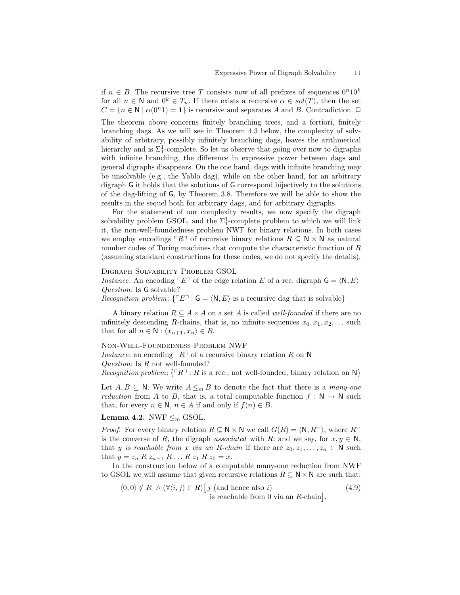if  $n \in B$ . The recursive tree T consists now of all prefixes of sequences  $0^n10^k$ for all  $n \in \mathbb{N}$  and  $0^k \in T_n$ . If there exists a recursive  $\alpha \in sol(T)$ , then the set  $C = \{n \in \mathbb{N} \mid \alpha(0^n) = 1\}$  is recursive and separates A and B. Contradiction.  $\Box$ The theorem above concerns finitely branching trees, and a fortiori, finitely branching dags. As we will see in Theorem 4.3 below, the complexity of solvability of arbitrary, possibly infinitely branching dags, leaves the arithmetical hierarchy and is  $\Sigma_1^1$ -complete. So let us observe that going over now to digraphs with infinite branching, the difference in expressive power between dags and general digraphs disappears. On the one hand, dags with infinite branching may be unsolvable (e.g., the Yablo dag), while on the other hand, for an arbitrary digraph G it holds that the solutions of G correspond bijectively to the solutions of the dag-lifting of G, by Theorem 3.8. Therefore we will be able to show the results in the sequel both for arbitrary dags, and for arbitrary digraphs.

For the statement of our complexity results, we now specify the digraph solvability problem GSOL, and the  $\Sigma^1_1$ -complete problem to which we will link it, the non-well-foundedness problem NWF for binary relations. In both cases we employ encodings  $\ulcorner R\urcorner$  of recursive binary relations  $R \subseteq N \times N$  as natural number codes of Turing machines that compute the characteristic function of R (assuming standard constructions for these codes, we do not specify the details).

Digraph Solvability Problem GSOL

Instance: An encoding  $\ulcorner E \urcorner$  of the edge relation E of a rec. digraph  $\mathsf{G} = \langle \mathsf{N}, E \rangle$ Question: Is G solvable?

*Recognition problem:*  $\{ \ulcorner E \urcorner : G = \langle N, E \rangle \text{ is a recursive dag that is solvable} \}$ 

A binary relation  $R \subseteq A \times A$  on a set A is called *well-founded* if there are no infinitely descending R-chains, that is, no infinite sequences  $x_0, x_1, x_2, \ldots$  such that for all  $n \in \mathbb{N} : \langle x_{n+1}, x_n \rangle \in R$ .

#### Non-Well-Foundedness Problem NWF

Instance: an encoding  $\ulcorner R\urcorner$  of a recursive binary relation R on N

Question: Is R not well-founded?

Recognition problem:  $\{ \ulcorner R \urcorner : R \urcorner$  is a rec., not well-founded, binary relation on N

Let  $A, B \subseteq \mathbb{N}$ . We write  $A \leq_m B$  to denote the fact that there is a many-one *reduction* from A to B, that is, a total computable function  $f : \mathbb{N} \to \mathbb{N}$  such that, for every  $n \in \mathbb{N}$ ,  $n \in A$  if and only if  $f(n) \in B$ .

# Lemma 4.2. NWF  $\leq_m$  GSOL.

*Proof.* For every binary relation  $R \subseteq \mathbb{N} \times \mathbb{N}$  we call  $G(R) = \langle \mathbb{N}, R^{\sim} \rangle$ , where  $R^{\sim}$ is the converse of R, the digraph associated with R; and we say, for  $x, y \in N$ , that y is reachable from x via an R-chain if there are  $z_0, z_1, \ldots, z_n \in \mathbb{N}$  such that  $y = z_n R z_{n-1} R ... R z_1 R z_0 = x$ .

In the construction below of a computable many-one reduction from NWF to GSOL we will assume that given recursive relations  $R \subseteq N \times N$  are such that:

$$
\langle 0,0 \rangle \notin R \land (\forall \langle i,j \rangle \in R) [j \text{ (and hence also } i) \text{ is reachable from 0 via an } R\text{-chain}].
$$
\n(4.9)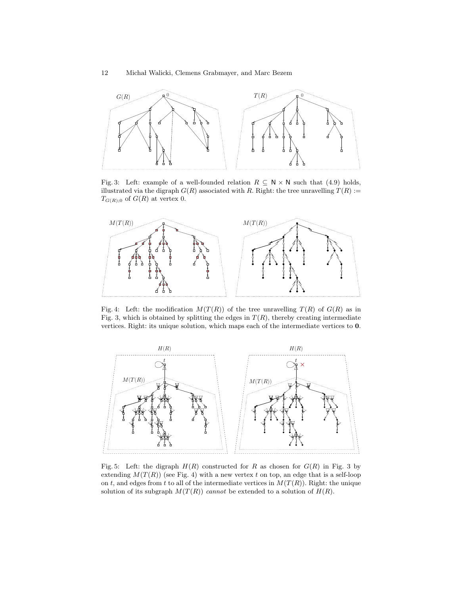

Fig. 3: Left: example of a well-founded relation  $R \subseteq N \times N$  such that (4.9) holds, illustrated via the digraph  $G(R)$  associated with R. Right: the tree unravelling  $T(R) :=$  $T_{G(R);0}$  of  $G(R)$  at vertex 0.



Fig. 4: Left: the modification  $M(T(R))$  of the tree unravelling  $T(R)$  of  $G(R)$  as in Fig. 3, which is obtained by splitting the edges in  $T(R)$ , thereby creating intermediate vertices. Right: its unique solution, which maps each of the intermediate vertices to 0.



Fig. 5: Left: the digraph  $H(R)$  constructed for R as chosen for  $G(R)$  in Fig. 3 by extending  $M(T(R))$  (see Fig. 4) with a new vertex t on top, an edge that is a self-loop on t, and edges from t to all of the intermediate vertices in  $M(T(R))$ . Right: the unique solution of its subgraph  $M(T(R))$  cannot be extended to a solution of  $H(R)$ .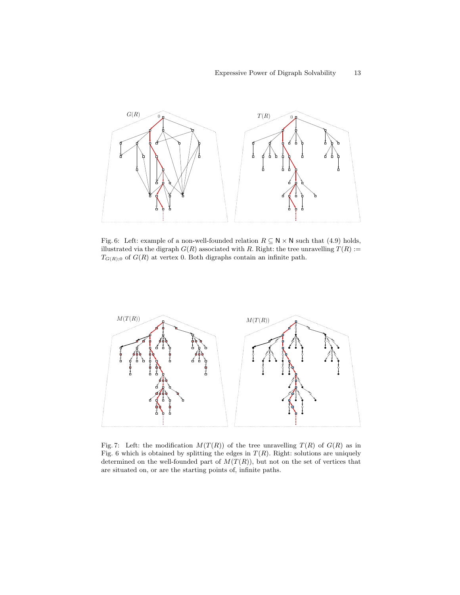

Fig. 6: Left: example of a non-well-founded relation  $R \subseteq N \times N$  such that (4.9) holds, illustrated via the digraph  $G(R)$  associated with R. Right: the tree unravelling  $T(R) :=$  $T_{G(R);0}$  of  $G(R)$  at vertex 0. Both digraphs contain an infinite path.



Fig. 7: Left: the modification  $M(T(R))$  of the tree unravelling  $T(R)$  of  $G(R)$  as in Fig. 6 which is obtained by splitting the edges in  $T(R)$ . Right: solutions are uniquely determined on the well-founded part of  $M(T(R))$ , but not on the set of vertices that are situated on, or are the starting points of, infinite paths.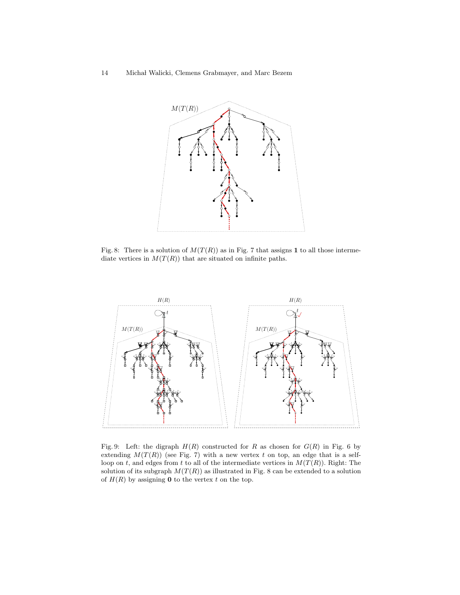

Fig. 8: There is a solution of  $M(T(R))$  as in Fig. 7 that assigns 1 to all those intermediate vertices in  $M(T(R))$  that are situated on infinite paths.



Fig. 9: Left: the digraph  $H(R)$  constructed for R as chosen for  $G(R)$  in Fig. 6 by extending  $M(T(R))$  (see Fig. 7) with a new vertex t on top, an edge that is a selfloop on t, and edges from t to all of the intermediate vertices in  $M(T(R))$ . Right: The solution of its subgraph  $M(T(R))$  as illustrated in Fig. 8 can be extended to a solution of  $H(R)$  by assigning **0** to the vertex t on the top.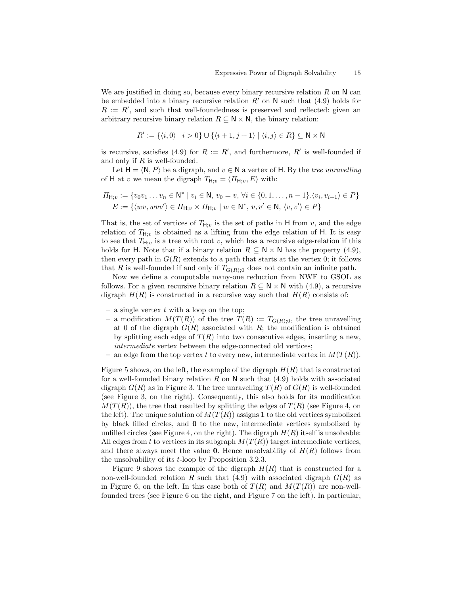We are justified in doing so, because every binary recursive relation  $R$  on  $N$  can be embedded into a binary recursive relation  $R'$  on N such that (4.9) holds for  $R := R'$ , and such that well-foundedness is preserved and reflected: given an arbitrary recursive binary relation  $R \subseteq N \times N$ , the binary relation:

$$
R' := \{ \langle i, 0 \rangle \mid i > 0 \} \cup \{ \langle i+1, j+1 \rangle \mid \langle i, j \rangle \in R \} \subseteq \mathbb{N} \times \mathbb{N}
$$

is recursive, satisfies (4.9) for  $R := R'$ , and furthermore,  $R'$  is well-founded if and only if  $R$  is well-founded.

Let  $H = \langle N, P \rangle$  be a digraph, and  $v \in N$  a vertex of H. By the tree unravelling of H at v we mean the digraph  $T_{\mathsf{H};v} = \langle \Pi_{\mathsf{H};v}, E \rangle$  with:

$$
\Pi_{\mathsf{H};v} := \{v_0v_1 \dots v_n \in \mathsf{N}^* \mid v_i \in \mathsf{N}, v_0 = v, \forall i \in \{0, 1, \dots, n-1\}. \langle v_i, v_{i+1} \rangle \in P\}
$$
\n
$$
E := \{ \langle wv, wvv' \rangle \in \Pi_{\mathsf{H};v} \times \Pi_{\mathsf{H};v} \mid w \in \mathsf{N}^*, v, v' \in \mathsf{N}, \langle v, v' \rangle \in P\}
$$

That is, the set of vertices of  $T_{H;v}$  is the set of paths in H from v, and the edge relation of  $T_{H,y}$  is obtained as a lifting from the edge relation of H. It is easy to see that  $T_{\mathbf{H}:v}$  is a tree with root v, which has a recursive edge-relation if this holds for H. Note that if a binary relation  $R \subseteq N \times N$  has the property (4.9), then every path in  $G(R)$  extends to a path that starts at the vertex 0; it follows that R is well-founded if and only if  $T_{G(R):0}$  does not contain an infinite path.

Now we define a computable many-one reduction from NWF to GSOL as follows. For a given recursive binary relation  $R \subseteq N \times N$  with (4.9), a recursive digraph  $H(R)$  is constructed in a recursive way such that  $H(R)$  consists of:

- a single vertex  $t$  with a loop on the top;
- a modification  $M(T(R))$  of the tree  $T(R) := T_{G(R);0}$ , the tree unravelling at 0 of the digraph  $G(R)$  associated with R; the modification is obtained by splitting each edge of  $T(R)$  into two consecutive edges, inserting a new, intermediate vertex between the edge-connected old vertices;
- an edge from the top vertex t to every new, intermediate vertex in  $M(T(R))$ .

Figure 5 shows, on the left, the example of the digraph  $H(R)$  that is constructed for a well-founded binary relation R on N such that  $(4.9)$  holds with associated digraph  $G(R)$  as in Figure 3. The tree unravelling  $T(R)$  of  $G(R)$  is well-founded (see Figure 3, on the right). Consequently, this also holds for its modification  $M(T(R))$ , the tree that resulted by splitting the edges of  $T(R)$  (see Figure 4, on the left). The unique solution of  $M(T(R))$  assigns 1 to the old vertices symbolized by black filled circles, and 0 to the new, intermediate vertices symbolized by unfilled circles (see Figure 4, on the right). The digraph  $H(R)$  itself is unsolvable: All edges from t to vertices in its subgraph  $M(T(R))$  target intermediate vertices, and there always meet the value **0**. Hence unsolvability of  $H(R)$  follows from the unsolvability of its t-loop by Proposition 3.2.3.

Figure 9 shows the example of the digraph  $H(R)$  that is constructed for a non-well-founded relation R such that  $(4.9)$  with associated digraph  $G(R)$  as in Figure 6, on the left. In this case both of  $T(R)$  and  $M(T(R))$  are non-wellfounded trees (see Figure 6 on the right, and Figure 7 on the left). In particular,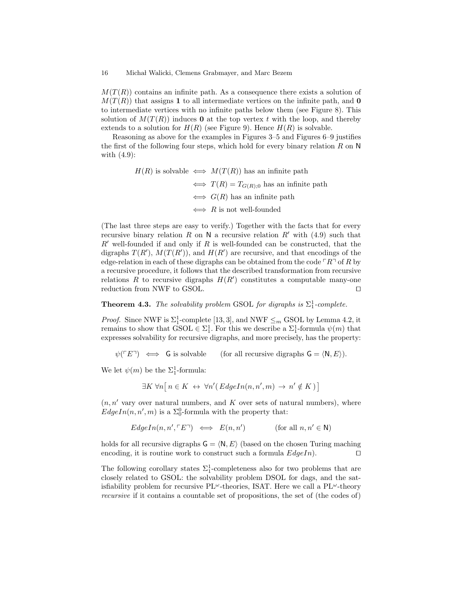$M(T(R))$  contains an infinite path. As a consequence there exists a solution of  $M(T(R))$  that assigns 1 to all intermediate vertices on the infinite path, and 0 to intermediate vertices with no infinite paths below them (see Figure 8). This solution of  $M(T(R))$  induces **0** at the top vertex t with the loop, and thereby extends to a solution for  $H(R)$  (see Figure 9). Hence  $H(R)$  is solvable.

Reasoning as above for the examples in Figures 3–5 and Figures 6–9 justifies the first of the following four steps, which hold for every binary relation  $R$  on  $N$ with (4.9):

> $H(R)$  is solvable  $\iff M(T(R))$  has an infinite path  $\Leftrightarrow$   $T(R) = T_{G(R):0}$  has an infinite path  $\iff$  G(R) has an infinite path  $\Leftrightarrow$  R is not well-founded

(The last three steps are easy to verify.) Together with the facts that for every recursive binary relation R on N a recursive relation  $R'$  with (4.9) such that  $R'$  well-founded if and only if R is well-founded can be constructed, that the digraphs  $T(R')$ ,  $M(T(R'))$ , and  $H(R')$  are recursive, and that encodings of the edge-relation in each of these digraphs can be obtained from the code  $\ulcorner R\urcorner$  of R by a recursive procedure, it follows that the described transformation from recursive relations R to recursive digraphs  $H(R')$  constitutes a computable many-one reduction from NWF to GSOL.  $\Box$ 

# **Theorem 4.3.** The solvability problem GSOL for digraphs is  $\Sigma_1^1$ -complete.

*Proof.* Since NWF is  $\Sigma_1^1$ -complete [13, 3], and NWF  $\leq_m$  GSOL by Lemma 4.2, it remains to show that  $\text{GSOL} \in \Sigma_1^1$ . For this we describe a  $\Sigma_1^1$ -formula  $\psi(m)$  that expresses solvability for recursive digraphs, and more precisely, has the property:

$$
\psi(\ulcorner E\urcorner) \iff \mathsf{G}
$$
 is solvable (for all recursive digraphs  $\mathsf{G} = \langle \mathsf{N}, E \rangle$ ).

We let  $\psi(m)$  be the  $\Sigma_1^1$ -formula:

$$
\exists K \,\forall n \big[ n \in K \leftrightarrow \forall n' (EdgeIn(n, n', m) \rightarrow n' \notin K) \big]
$$

 $(n, n'$  vary over natural numbers, and K over sets of natural numbers), where  $EdgeIn(n, n', m)$  is a  $\Sigma_0^0$ -formula with the property that:

$$
EdgeIn(n, n', \ulcorner E \urcorner) \iff E(n, n') \qquad (\text{for all } n, n' \in \mathbb{N})
$$

holds for all recursive digraphs  $G = \langle N, E \rangle$  (based on the chosen Turing maching encoding, it is routine work to construct such a formula  $EdgeIn$ ).

The following corollary states  $\Sigma_1^1$ -completeness also for two problems that are closely related to GSOL: the solvability problem DSOL for dags, and the satisfiability problem for recursive  $PL^{\omega}$ -theories, ISAT. Here we call a  $PL^{\omega}$ -theory recursive if it contains a countable set of propositions, the set of (the codes of)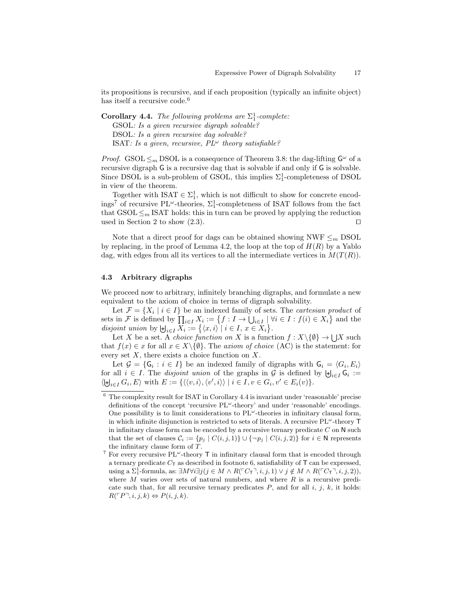its propositions is recursive, and if each proposition (typically an infinite object) has itself a recursive code.<sup>6</sup>

**Corollary 4.4.** The following problems are  $\Sigma_1^1$ -complete: GSOL: Is a given recursive digraph solvable? DSOL: Is a given recursive dag solvable? ISAT: Is a given, recursive,  $PL^{\omega}$  theory satisfiable?

*Proof.* GSOL  $\leq_m$  DSOL is a consequence of Theorem 3.8: the dag-lifting  $\mathsf{G}^\omega$  of a recursive digraph G is a recursive dag that is solvable if and only if G is solvable. Since DSOL is a sub-problem of GSOL, this implies  $\Sigma_1^1$ -completeness of DSOL in view of the theorem.

Together with  $ISAT \in \Sigma_1^1$ , which is not difficult to show for concrete encodings<sup>7</sup> of recursive PL<sup> $\omega$ </sup>-theories,  $\Sigma_1^1$ -completeness of ISAT follows from the fact that  $\text{GSOL} \leq_m \text{ISAT holds: }$  this in turn can be proved by applying the reduction used in Section 2 to show  $(2.3)$ .

Note that a direct proof for dags can be obtained showing NWF  $\leq_m$  DSOL by replacing, in the proof of Lemma 4.2, the loop at the top of  $H(R)$  by a Yablo dag, with edges from all its vertices to all the intermediate vertices in  $M(T(R))$ .

### 4.3 Arbitrary digraphs

We proceed now to arbitrary, infinitely branching digraphs, and formulate a new equivalent to the axiom of choice in terms of digraph solvability.

Let  $\mathcal{F} = \{X_i \mid i \in I\}$  be an indexed family of sets. The *cartesian product* of sets in F is defined by  $\prod_{i\in I} X_i := \{f : I \to \bigcup_{i\in I} \mid \forall i \in I : f(i) \in X_i\}$  and the disjoint union by  $\biguplus_{i \in I} X_i := \{ \langle x, i \rangle \mid i \in I, x \in X_i \}.$ 

Let X be a set. A *choice function on* X is a function  $f: X \backslash \{\emptyset\} \to \bigcup X$  such that  $f(x) \in x$  for all  $x \in X \setminus \{\emptyset\}$ . The *axiom of choice* (AC) is the statement: for every set  $X$ , there exists a choice function on  $X$ .

Let  $\mathcal{G} = \{ \mathsf{G}_i : i \in I \}$  be an indexed family of digraphs with  $\mathsf{G}_i = \langle G_i, E_i \rangle$ for all  $i \in I$ . The *disjoint union* of the graphs in G is defined by  $\biguplus_{i \in I} \mathsf{G}_i :=$  $\langle \biguplus_{i \in I} G_i, E \rangle \text{ with } E := \{ \langle \langle v, i \rangle, \langle v', i \rangle \rangle \mid i \in I, v \in G_i, v' \in E_i(v) \}.$ 

 $6$  The complexity result for ISAT in Corollary 4.4 is invariant under 'reasonable' precise definitions of the concept 'recursive  $PL^{\omega}$ -theory' and under 'reasonable' encodings. One possibility is to limit considerations to  $PL^{\omega}$ -theories in infinitary clausal form, in which infinite disjunction is restricted to sets of literals. A recursive  $PL^{\omega}$ -theory T in infinitary clause form can be encoded by a recursive ternary predicate  $C$  on  $N$  such that the set of clauses  $C_i := \{p_j \mid C(i, j, 1)\} \cup \{\neg p_j \mid C(i, j, 2)\}\$  for  $i \in \mathbb{N}$  represents the infinitary clause form of  $T$ .

<sup>&</sup>lt;sup>7</sup> For every recursive PL<sup> $\omega$ </sup>-theory **T** in infinitary clausal form that is encoded through a ternary predicate  $C_T$  as described in footnote 6, satisfiability of  $T$  can be expressed, using a  $\Sigma_1^1$ -formula, as:  $\exists M \forall i \exists j (j \in M \land R(\ulcorner C_{\sqcap} \urcorner, i, j, 1) \lor j \notin M \land R(\ulcorner C_{\sqcap} \urcorner, i, j, 2)),$ where  $M$  varies over sets of natural numbers, and where  $R$  is a recursive predicate such that, for all recursive ternary predicates  $P$ , and for all i, j, k, it holds:  $R(\ulcorner P\urcorner, i, j, k) \Leftrightarrow P(i, j, k).$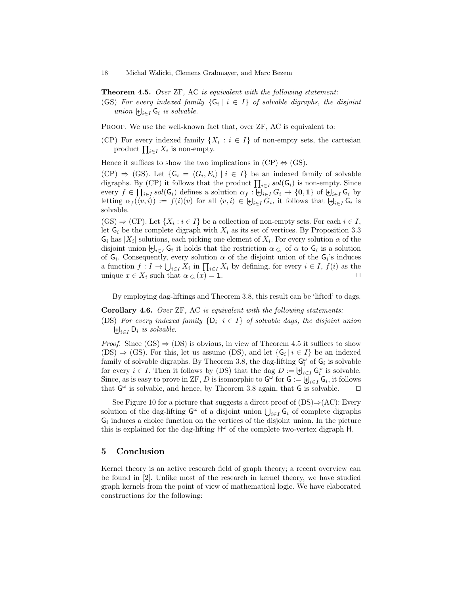**Theorem 4.5.** Over ZF, AC is equivalent with the following statement:

(GS) For every indexed family  $\{G_i \mid i \in I\}$  of solvable digraphs, the disjoint union  $\biguplus_{i\in I} \mathsf{G}_i$  is solvable.

PROOF. We use the well-known fact that, over  $\rm ZF$ , AC is equivalent to:

(CP) For every indexed family  $\{X_i : i \in I\}$  of non-empty sets, the cartesian product  $\prod_{i\in I} X_i$  is non-empty.

Hence it suffices to show the two implications in  $(CP) \Leftrightarrow (GS)$ .

 $(CP) \Rightarrow (GS)$ . Let  $\{G_i = \langle G_i, E_i \rangle \mid i \in I\}$  be an indexed family of solvable digraphs. By (CP) it follows that the product  $\prod_{i \in I} sol(G_i)$  is non-empty. Since every  $f \in \prod_{i \in I} sol(G_i)$  defines a solution  $\alpha_f : \biguplus_{i \in I} G_i \to \{0,1\}$  of  $\biguplus_{i \in I} G_i$  by letting  $\alpha_f(\langle v, i \rangle) := f(i)(v)$  for all  $\langle v, i \rangle \in \biguplus_{i \in I} G_i$ , it follows that  $\biguplus_{i \in I} G_i$  is solvable.

 $(\text{GS}) \Rightarrow (\text{CP})$ . Let  $\{X_i : i \in I\}$  be a collection of non-empty sets. For each  $i \in I$ , let  $G_i$  be the complete digraph with  $X_i$  as its set of vertices. By Proposition 3.3  $\mathsf{G}_i$  has  $|X_i|$  solutions, each picking one element of  $X_i$ . For every solution  $\alpha$  of the disjoint union  $\biguplus_{i\in I} \mathsf{G}_i$  it holds that the restriction  $\alpha|_{\mathsf{G}_i}$  of  $\alpha$  to  $\mathsf{G}_i$  is a solution of  $G_i$ . Consequently, every solution  $\alpha$  of the disjoint union of the  $G_i$ 's induces a function  $f: I \to \bigcup_{i \in I} X_i$  in  $\prod_{i \in I} X_i$  by defining, for every  $i \in I$ ,  $f(i)$  as the unique  $x \in X_i$  such that  $\alpha|_{G_i}(x) = 1$ .

By employing dag-liftings and Theorem 3.8, this result can be 'lifted' to dags.

Corollary 4.6. Over ZF, AC is equivalent with the following statements:

(DS) For every indexed family  $\{D_i \mid i \in I\}$  of solvable dags, the disjoint union  $\biguplus_{i\in I} \mathsf{D}_i$  is solvable.

*Proof.* Since  $(GS) \Rightarrow (DS)$  is obvious, in view of Theorem 4.5 it suffices to show  $(DS) \Rightarrow (GS)$ . For this, let us assume  $(DS)$ , and let  $\{G_i \mid i \in I\}$  be an indexed family of solvable digraphs. By Theorem 3.8, the dag-lifting  $G_i^{\omega}$  of  $G_i$  is solvable for every  $i \in I$ . Then it follows by (DS) that the dag  $D := \biguplus_{i \in I} \mathsf{G}_i^{\omega}$  is solvable. Since, as is easy to prove in ZF, D is isomorphic to  $G^{\omega}$  for  $G := \biguplus_{i \in I} G_i$ , it follows that  $G^{\omega}$  is solvable, and hence, by Theorem 3.8 again, that G is solvable.  $\square$ 

See Figure 10 for a picture that suggests a direct proof of  $(DS) \Rightarrow (AC)$ : Every solution of the dag-lifting  $\mathsf{G}^{\omega}$  of a disjoint union  $\bigcup_{i\in I} \mathsf{G}_i$  of complete digraphs  $\mathsf{G}_i$  induces a choice function on the vertices of the disjoint union. In the picture this is explained for the dag-lifting  $H^{\omega}$  of the complete two-vertex digraph H.

# 5 Conclusion

Kernel theory is an active research field of graph theory; a recent overview can be found in [2]. Unlike most of the research in kernel theory, we have studied graph kernels from the point of view of mathematical logic. We have elaborated constructions for the following: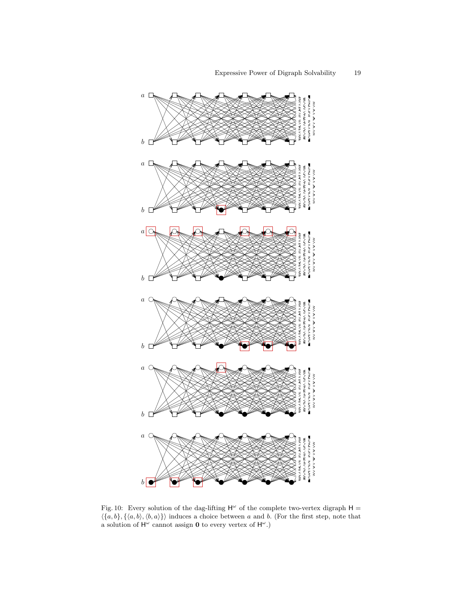![](_page_18_Figure_1.jpeg)

Fig. 10: Every solution of the dag-lifting  $H^{\omega}$  of the complete two-vertex digraph  $H =$  $\langle \{a, b\}, \{\langle a, b\rangle, \langle b, a\rangle\}\rangle$  induces a choice between a and b. (For the first step, note that a solution of  $H^{\omega}$  cannot assign **0** to every vertex of  $H^{\omega}$ .)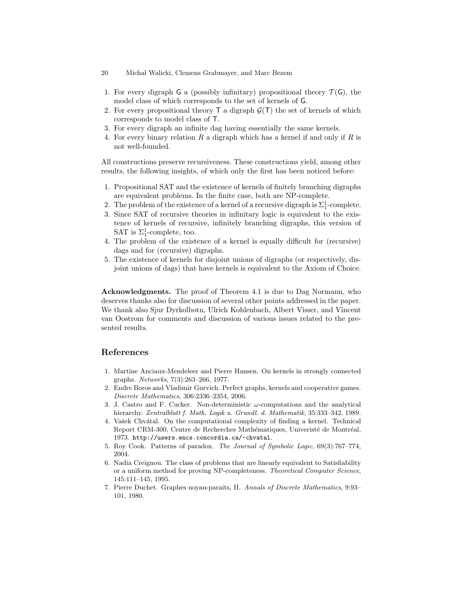- 20 Michał Walicki, Clemens Grabmayer, and Marc Bezem
- 1. For every digraph G a (possibly infinitary) propositional theory  $\mathcal{T}(G)$ , the model class of which corresponds to the set of kernels of G.
- 2. For every propositional theory  $\mathsf T$  a digraph  $\mathcal G(\mathsf T)$  the set of kernels of which corresponds to model class of T.
- 3. For every digraph an infinite dag having essentially the same kernels.
- 4. For every binary relation R a digraph which has a kernel if and only if R is not well-founded.

All constructions preserve recursiveness. These constructions yield, among other results, the following insights, of which only the first has been noticed before:

- 1. Propositional SAT and the existence of kernels of finitely branching digraphs are equivalent problems. In the finite case, both are NP-complete.
- 2. The problem of the existence of a kernel of a recursive digraph is  $\Sigma_1^1$ -complete.
- 3. Since SAT of recursive theories in infinitary logic is equivalent to the existence of kernels of recursive, infinitely branching digraphs, this version of SAT is  $\Sigma_1^1$ -complete, too.
- 4. The problem of the existence of a kernel is equally difficult for (recursive) dags and for (recursive) digraphs.
- 5. The existence of kernels for disjoint unions of digraphs (or respectively, disjoint unions of dags) that have kernels is equivalent to the Axiom of Choice.

Acknowledgments. The proof of Theorem 4.1 is due to Dag Normann, who deserves thanks also for discussion of several other points addressed in the paper. We thank also Sjur Dyrkolbotn, Ulrich Kohlenbach, Albert Visser, and Vincent van Oostrom for comments and discussion of various issues related to the presented results.

# References

- 1. Martine Anciaux-Mendeleer and Pierre Hansen. On kernels in strongly connected graphs. Networks, 7(3):263–266, 1977.
- 2. Endre Boros and Vladimir Gurvich. Perfect graphs, kernels and cooperative games. Discrete Mathematics, 306:2336–2354, 2006.
- 3. J. Castro and F. Cucker. Non-deterministic  $\omega$ -computations and the analytical hierarchy. Zentralblatt f. Math. Logik u. Grundl. d. Mathematik, 35:333-342, 1989.
- 4. Vašek Chvátal. On the computational complexity of finding a kernel. Technical Report CRM-300, Centre de Recherches Mathématiques, Univeristé de Montréal, 1973. http://users.encs.concordia.ca/~chvatal.
- 5. Roy Cook. Patterns of paradox. The Journal of Symbolic Logic, 69(3):767–774, 2004.
- 6. Nadia Creignou. The class of problems that are linearly equivalent to Satisfiability or a uniform method for proving NP-completeness. Theoretical Computer Science, 145:111–145, 1995.
- 7. Pierre Duchet. Graphes noyau-paraits, II. Annals of Discrete Mathematics, 9:93– 101, 1980.